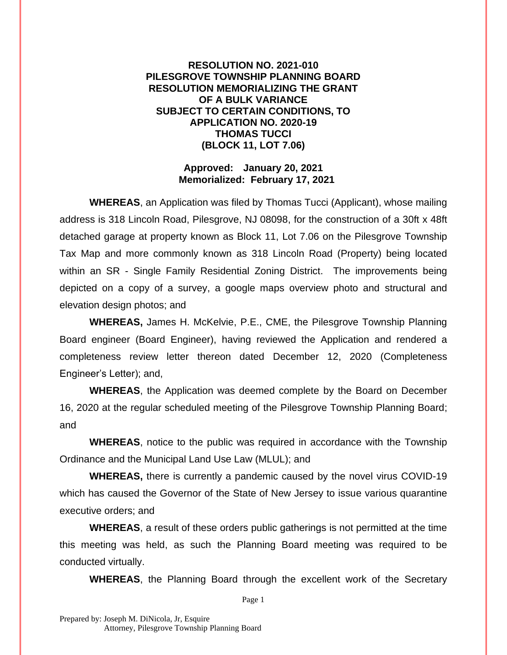## **RESOLUTION NO. 2021-010 PILESGROVE TOWNSHIP PLANNING BOARD RESOLUTION MEMORIALIZING THE GRANT OF A BULK VARIANCE SUBJECT TO CERTAIN CONDITIONS, TO APPLICATION NO. 2020-19 THOMAS TUCCI (BLOCK 11, LOT 7.06)**

## **Approved: January 20, 2021 Memorialized: February 17, 2021**

**WHEREAS**, an Application was filed by Thomas Tucci (Applicant), whose mailing address is 318 Lincoln Road, Pilesgrove, NJ 08098, for the construction of a 30ft x 48ft detached garage at property known as Block 11, Lot 7.06 on the Pilesgrove Township Tax Map and more commonly known as 318 Lincoln Road (Property) being located within an SR - Single Family Residential Zoning District. The improvements being depicted on a copy of a survey, a google maps overview photo and structural and elevation design photos; and

**WHEREAS,** James H. McKelvie, P.E., CME, the Pilesgrove Township Planning Board engineer (Board Engineer), having reviewed the Application and rendered a completeness review letter thereon dated December 12, 2020 (Completeness Engineer's Letter); and,

**WHEREAS**, the Application was deemed complete by the Board on December 16, 2020 at the regular scheduled meeting of the Pilesgrove Township Planning Board; and

**WHEREAS**, notice to the public was required in accordance with the Township Ordinance and the Municipal Land Use Law (MLUL); and

**WHEREAS,** there is currently a pandemic caused by the novel virus COVID-19 which has caused the Governor of the State of New Jersey to issue various quarantine executive orders; and

**WHEREAS**, a result of these orders public gatherings is not permitted at the time this meeting was held, as such the Planning Board meeting was required to be conducted virtually.

**WHEREAS**, the Planning Board through the excellent work of the Secretary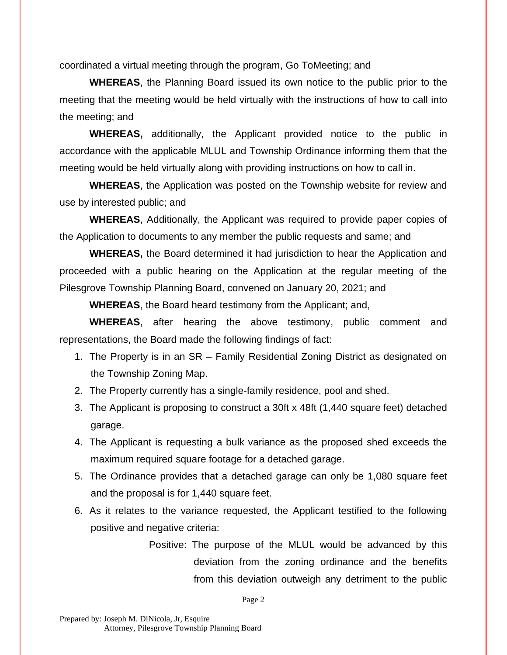coordinated a virtual meeting through the program, Go ToMeeting; and

**WHEREAS**, the Planning Board issued its own notice to the public prior to the meeting that the meeting would be held virtually with the instructions of how to call into the meeting; and

**WHEREAS,** additionally, the Applicant provided notice to the public in accordance with the applicable MLUL and Township Ordinance informing them that the meeting would be held virtually along with providing instructions on how to call in.

**WHEREAS**, the Application was posted on the Township website for review and use by interested public; and

**WHEREAS**, Additionally, the Applicant was required to provide paper copies of the Application to documents to any member the public requests and same; and

**WHEREAS,** the Board determined it had jurisdiction to hear the Application and proceeded with a public hearing on the Application at the regular meeting of the Pilesgrove Township Planning Board, convened on January 20, 2021; and

**WHEREAS**, the Board heard testimony from the Applicant; and,

**WHEREAS**, after hearing the above testimony, public comment and representations, the Board made the following findings of fact:

- 1. The Property is in an SR Family Residential Zoning District as designated on the Township Zoning Map.
- 2. The Property currently has a single-family residence, pool and shed.
- 3. The Applicant is proposing to construct a 30ft x 48ft (1,440 square feet) detached garage.
- 4. The Applicant is requesting a bulk variance as the proposed shed exceeds the maximum required square footage for a detached garage.
- 5. The Ordinance provides that a detached garage can only be 1,080 square feet and the proposal is for 1,440 square feet.
- 6. As it relates to the variance requested, the Applicant testified to the following positive and negative criteria:
	- Positive: The purpose of the MLUL would be advanced by this deviation from the zoning ordinance and the benefits from this deviation outweigh any detriment to the public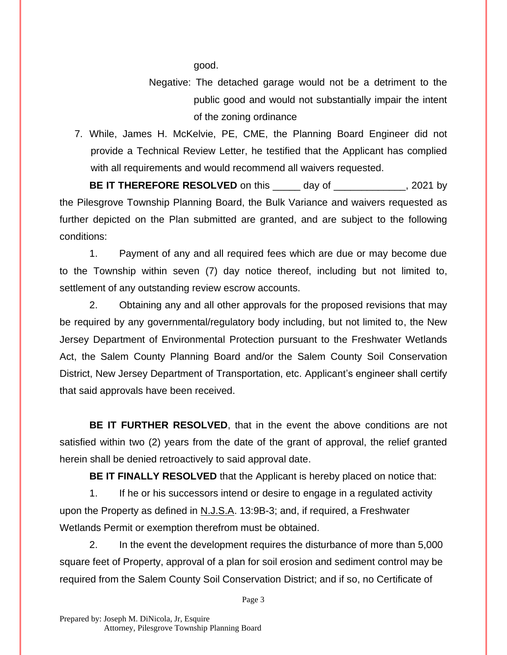good.

- Negative: The detached garage would not be a detriment to the public good and would not substantially impair the intent of the zoning ordinance
- 7. While, James H. McKelvie, PE, CME, the Planning Board Engineer did not provide a Technical Review Letter, he testified that the Applicant has complied with all requirements and would recommend all waivers requested.

**BE IT THEREFORE RESOLVED** on this \_\_\_\_\_ day of \_\_\_\_\_\_\_\_\_\_\_\_, 2021 by the Pilesgrove Township Planning Board, the Bulk Variance and waivers requested as further depicted on the Plan submitted are granted, and are subject to the following conditions:

1. Payment of any and all required fees which are due or may become due to the Township within seven (7) day notice thereof, including but not limited to, settlement of any outstanding review escrow accounts.

2. Obtaining any and all other approvals for the proposed revisions that may be required by any governmental/regulatory body including, but not limited to, the New Jersey Department of Environmental Protection pursuant to the Freshwater Wetlands Act, the Salem County Planning Board and/or the Salem County Soil Conservation District, New Jersey Department of Transportation, etc. Applicant's engineer shall certify that said approvals have been received.

**BE IT FURTHER RESOLVED**, that in the event the above conditions are not satisfied within two (2) years from the date of the grant of approval, the relief granted herein shall be denied retroactively to said approval date.

**BE IT FINALLY RESOLVED** that the Applicant is hereby placed on notice that:

1. If he or his successors intend or desire to engage in a regulated activity upon the Property as defined in N.J.S.A. 13:9B-3; and, if required, a Freshwater Wetlands Permit or exemption therefrom must be obtained.

2. In the event the development requires the disturbance of more than 5,000 square feet of Property, approval of a plan for soil erosion and sediment control may be required from the Salem County Soil Conservation District; and if so, no Certificate of

Page 3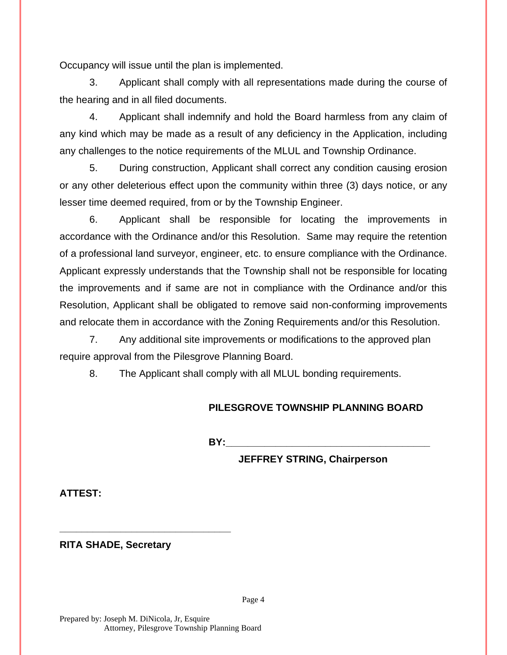Occupancy will issue until the plan is implemented.

3. Applicant shall comply with all representations made during the course of the hearing and in all filed documents.

4. Applicant shall indemnify and hold the Board harmless from any claim of any kind which may be made as a result of any deficiency in the Application, including any challenges to the notice requirements of the MLUL and Township Ordinance.

5. During construction, Applicant shall correct any condition causing erosion or any other deleterious effect upon the community within three (3) days notice, or any lesser time deemed required, from or by the Township Engineer.

6. Applicant shall be responsible for locating the improvements in accordance with the Ordinance and/or this Resolution. Same may require the retention of a professional land surveyor, engineer, etc. to ensure compliance with the Ordinance. Applicant expressly understands that the Township shall not be responsible for locating the improvements and if same are not in compliance with the Ordinance and/or this Resolution, Applicant shall be obligated to remove said non-conforming improvements and relocate them in accordance with the Zoning Requirements and/or this Resolution.

7. Any additional site improvements or modifications to the approved plan require approval from the Pilesgrove Planning Board.

8. The Applicant shall comply with all MLUL bonding requirements.

## **PILESGROVE TOWNSHIP PLANNING BOARD**

**BY:** 

**JEFFREY STRING, Chairperson**

**ATTEST:**

**RITA SHADE, Secretary**

**\_\_\_\_\_\_\_\_\_\_\_\_\_\_\_\_\_\_\_\_\_\_\_\_\_\_\_\_\_\_\_**